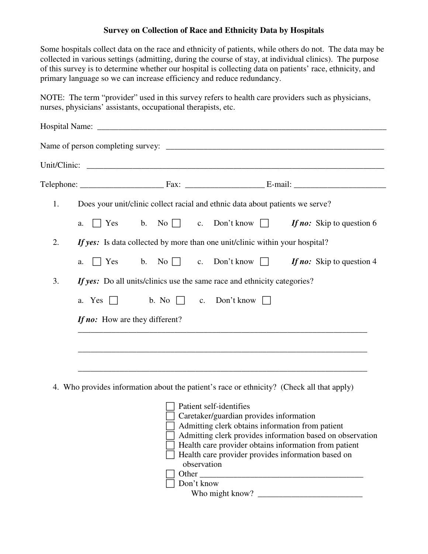## **Survey on Collection of Race and Ethnicity Data by Hospitals**

Some hospitals collect data on the race and ethnicity of patients, while others do not. The data may be collected in various settings (admitting, during the course of stay, at individual clinics). The purpose of this survey is to determine whether our hospital is collecting data on patients' race, ethnicity, and primary language so we can increase efficiency and reduce redundancy.

NOTE: The term "provider" used in this survey refers to health care providers such as physicians, nurses, physicians' assistants, occupational therapists, etc.

| Does your unit/clinic collect racial and ethnic data about patients we serve?<br>1.<br>No $\Box$ c. Don't know $\Box$<br>$\Box$ Yes<br>$\mathbf b$ .<br>a.<br>If yes: Is data collected by more than one unit/clinic within your hospital?<br>2.<br>c. Don't know $\Box$<br>$\Box$ Yes<br>b. No $\Box$<br>a.<br>If yes: Do all units/clinics use the same race and ethnicity categories?<br>3.<br>b. No $\Box$ c. Don't know $\Box$<br>a. Yes<br>If no: How are they different? |                                                       |
|---------------------------------------------------------------------------------------------------------------------------------------------------------------------------------------------------------------------------------------------------------------------------------------------------------------------------------------------------------------------------------------------------------------------------------------------------------------------------------|-------------------------------------------------------|
|                                                                                                                                                                                                                                                                                                                                                                                                                                                                                 |                                                       |
|                                                                                                                                                                                                                                                                                                                                                                                                                                                                                 |                                                       |
|                                                                                                                                                                                                                                                                                                                                                                                                                                                                                 | If no: Skip to question 6                             |
|                                                                                                                                                                                                                                                                                                                                                                                                                                                                                 |                                                       |
|                                                                                                                                                                                                                                                                                                                                                                                                                                                                                 | If no: Skip to question 4                             |
|                                                                                                                                                                                                                                                                                                                                                                                                                                                                                 |                                                       |
|                                                                                                                                                                                                                                                                                                                                                                                                                                                                                 |                                                       |
|                                                                                                                                                                                                                                                                                                                                                                                                                                                                                 |                                                       |
|                                                                                                                                                                                                                                                                                                                                                                                                                                                                                 |                                                       |
|                                                                                                                                                                                                                                                                                                                                                                                                                                                                                 |                                                       |
|                                                                                                                                                                                                                                                                                                                                                                                                                                                                                 |                                                       |
|                                                                                                                                                                                                                                                                                                                                                                                                                                                                                 |                                                       |
| 4. Who provides information about the patient's race or ethnicity? (Check all that apply)                                                                                                                                                                                                                                                                                                                                                                                       |                                                       |
| Patient self-identifies                                                                                                                                                                                                                                                                                                                                                                                                                                                         |                                                       |
| Caretaker/guardian provides information                                                                                                                                                                                                                                                                                                                                                                                                                                         |                                                       |
| Admitting clerk obtains information from patient<br>Admitting clerk provides information based on observation                                                                                                                                                                                                                                                                                                                                                                   | Health care provider obtains information from patient |
|                                                                                                                                                                                                                                                                                                                                                                                                                                                                                 |                                                       |
| Health care provider provides information based on<br>observation                                                                                                                                                                                                                                                                                                                                                                                                               |                                                       |

 Don't know Who might know? \_\_\_\_\_\_\_\_\_\_\_\_\_\_\_\_\_\_\_\_\_\_\_\_\_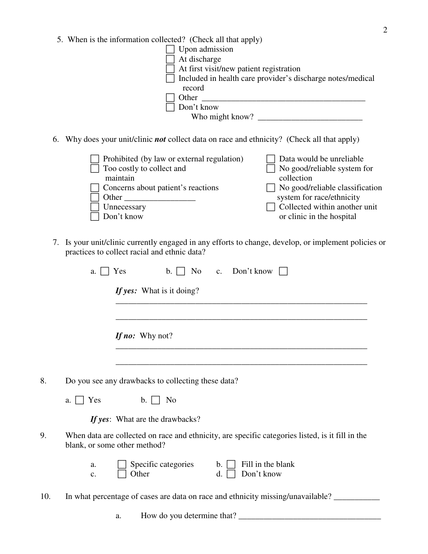5. When is the information collected? (Check all that apply)

| Upon admission                                             |  |
|------------------------------------------------------------|--|
| At discharge                                               |  |
| At first visit/new patient registration                    |  |
| Included in health care provider's discharge notes/medical |  |
| record                                                     |  |
| Other                                                      |  |
| Don't know                                                 |  |
| Who might know?                                            |  |
|                                                            |  |

6. Why does your unit/clinic *not* collect data on race and ethnicity? (Check all that apply)

| $\Box$ Prohibited (by law or external regulation)<br>$\Box$ Too costly to collect and | Data would be unreliable<br>$\Box$ No good/reliable system for |
|---------------------------------------------------------------------------------------|----------------------------------------------------------------|
| maintain                                                                              | collection                                                     |
| Concerns about patient's reactions                                                    | $\Box$ No good/reliable classification                         |
| Other                                                                                 | system for race/ethnicity                                      |
| Unnecessary                                                                           | $\Box$ Collected within another unit                           |
| Don't know                                                                            | or clinic in the hospital                                      |

7. Is your unit/clinic currently engaged in any efforts to change, develop, or implement policies or practices to collect racial and ethnic data?

|     | a.                           | Yes<br>$\mathbf{b}$ . $\Box$<br>No                 | c. Don't know                                                                                    |
|-----|------------------------------|----------------------------------------------------|--------------------------------------------------------------------------------------------------|
|     |                              | If yes: What is it doing?                          |                                                                                                  |
|     |                              | If no: Why not?                                    |                                                                                                  |
| 8.  |                              | Do you see any drawbacks to collecting these data? |                                                                                                  |
|     | Yes<br>a.                    | $\mathbf{b}$ . $\Box$<br>N <sub>o</sub>            |                                                                                                  |
|     |                              | If yes: What are the drawbacks?                    |                                                                                                  |
| 9.  | blank, or some other method? |                                                    | When data are collected on race and ethnicity, are specific categories listed, is it fill in the |
|     | a.<br>c.                     | Specific categories<br>Other                       | Fill in the blank<br>$\mathbf{b}$ . $\Box$<br>Don't know<br>d.                                   |
| 10. |                              |                                                    | In what percentage of cases are data on race and ethnicity missing/unavailable?                  |
|     |                              | How do you determine that?<br>a.                   |                                                                                                  |